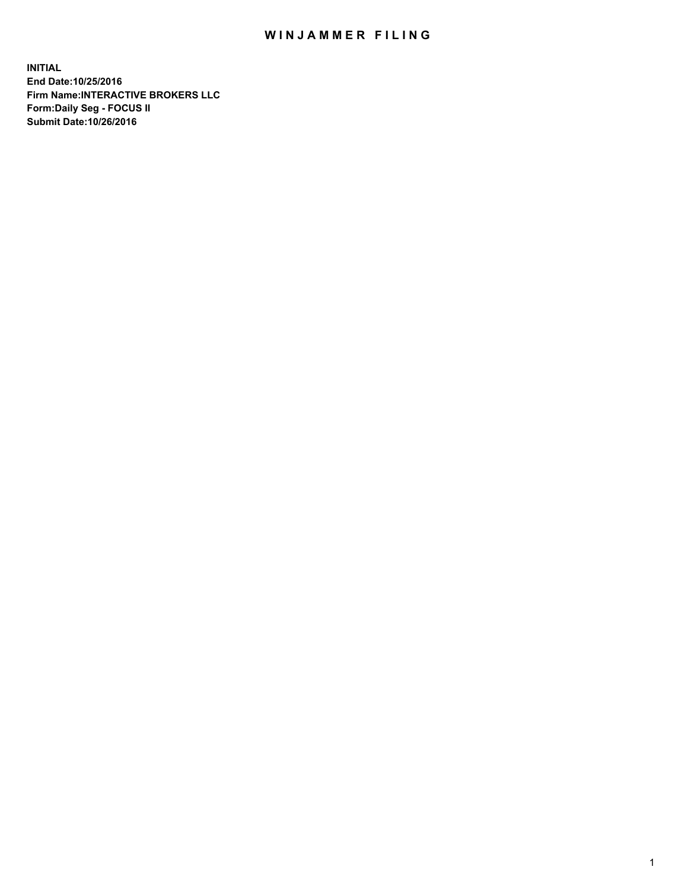## WIN JAMMER FILING

**INITIAL End Date:10/25/2016 Firm Name:INTERACTIVE BROKERS LLC Form:Daily Seg - FOCUS II Submit Date:10/26/2016**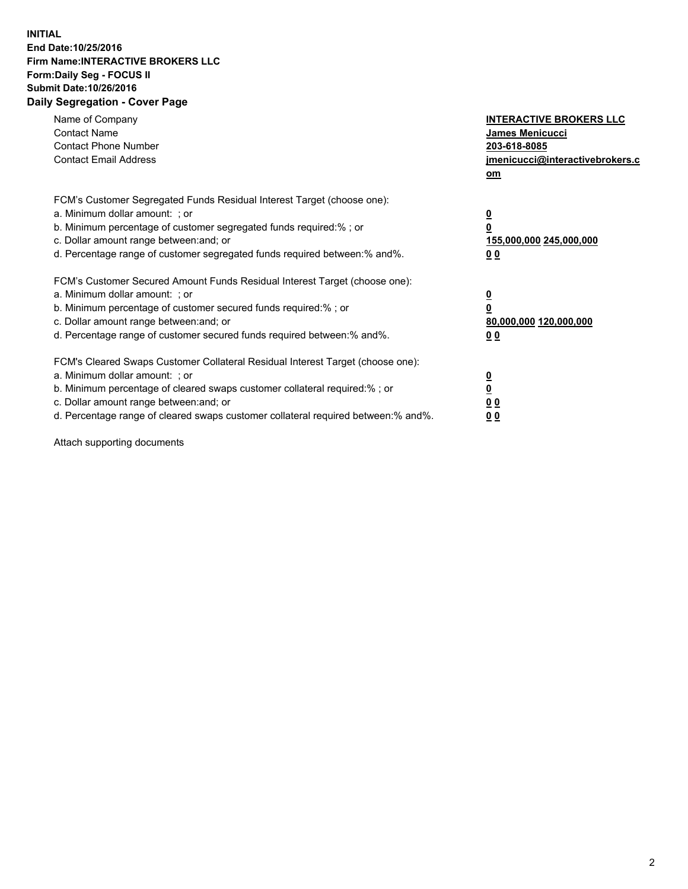## **INITIAL End Date:10/25/2016 Firm Name:INTERACTIVE BROKERS LLC Form:Daily Seg - FOCUS II Submit Date:10/26/2016 Daily Segregation - Cover Page**

| Name of Company<br><b>Contact Name</b><br><b>Contact Phone Number</b><br><b>Contact Email Address</b>                                                                                                                                                                                                                          | <b>INTERACTIVE BROKERS LLC</b><br>James Menicucci<br>203-618-8085<br><u>jmenicucci@interactivebrokers.c</u><br>om |
|--------------------------------------------------------------------------------------------------------------------------------------------------------------------------------------------------------------------------------------------------------------------------------------------------------------------------------|-------------------------------------------------------------------------------------------------------------------|
| FCM's Customer Segregated Funds Residual Interest Target (choose one):<br>a. Minimum dollar amount: ; or<br>b. Minimum percentage of customer segregated funds required:%; or<br>c. Dollar amount range between: and; or<br>d. Percentage range of customer segregated funds required between:% and%.                          | $\overline{\mathbf{0}}$<br>0<br>155,000,000 245,000,000<br>0 <sub>0</sub>                                         |
| FCM's Customer Secured Amount Funds Residual Interest Target (choose one):<br>a. Minimum dollar amount: ; or<br>b. Minimum percentage of customer secured funds required:%; or<br>c. Dollar amount range between: and; or<br>d. Percentage range of customer secured funds required between:% and%.                            | $\overline{\mathbf{0}}$<br>$\overline{\mathbf{0}}$<br>80,000,000 120,000,000<br>00                                |
| FCM's Cleared Swaps Customer Collateral Residual Interest Target (choose one):<br>a. Minimum dollar amount: ; or<br>b. Minimum percentage of cleared swaps customer collateral required:% ; or<br>c. Dollar amount range between: and; or<br>d. Percentage range of cleared swaps customer collateral required between:% and%. | $\overline{\mathbf{0}}$<br>$\overline{\mathbf{0}}$<br>0 <sub>0</sub><br><u>00</u>                                 |

Attach supporting documents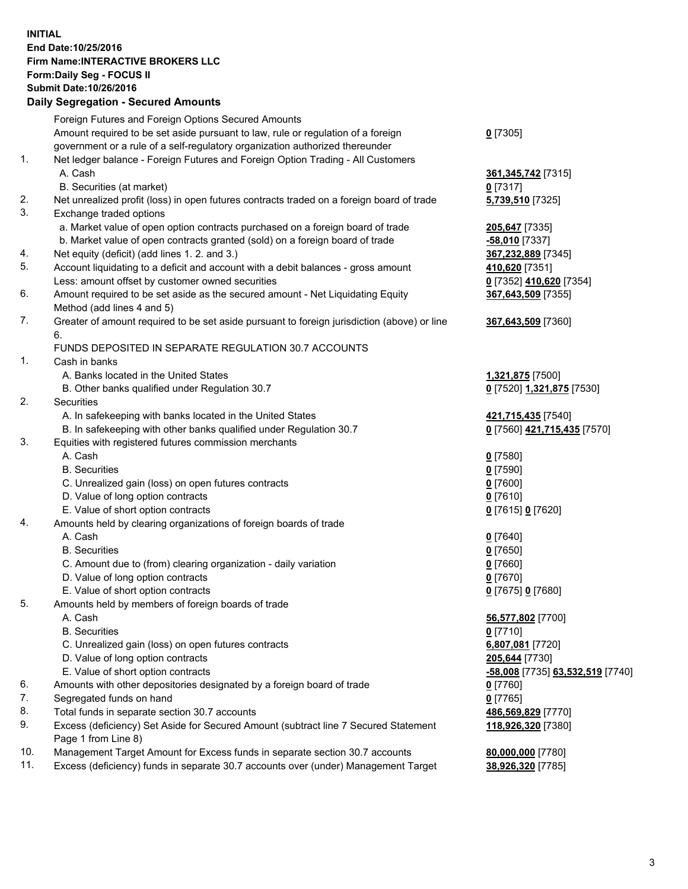## **INITIAL End Date:10/25/2016 Firm Name:INTERACTIVE BROKERS LLC Form:Daily Seg - FOCUS II Submit Date:10/26/2016 Daily Segregation - Secured Amounts**

|     | Dany Ocgregation - Occarea Annoants                                                                        |                                  |
|-----|------------------------------------------------------------------------------------------------------------|----------------------------------|
|     | Foreign Futures and Foreign Options Secured Amounts                                                        |                                  |
|     | Amount required to be set aside pursuant to law, rule or regulation of a foreign                           | $0$ [7305]                       |
|     | government or a rule of a self-regulatory organization authorized thereunder                               |                                  |
| 1.  | Net ledger balance - Foreign Futures and Foreign Option Trading - All Customers                            |                                  |
|     | A. Cash                                                                                                    | 361, 345, 742 [7315]             |
|     | B. Securities (at market)                                                                                  | $0$ [7317]                       |
| 2.  | Net unrealized profit (loss) in open futures contracts traded on a foreign board of trade                  | 5,739,510 [7325]                 |
| 3.  | Exchange traded options                                                                                    |                                  |
|     | a. Market value of open option contracts purchased on a foreign board of trade                             | 205,647 [7335]                   |
|     | b. Market value of open contracts granted (sold) on a foreign board of trade                               | -58,010 [7337]                   |
| 4.  | Net equity (deficit) (add lines 1.2. and 3.)                                                               | 367,232,889 [7345]               |
| 5.  | Account liquidating to a deficit and account with a debit balances - gross amount                          | 410,620 [7351]                   |
|     | Less: amount offset by customer owned securities                                                           | 0 [7352] 410,620 [7354]          |
| 6.  | Amount required to be set aside as the secured amount - Net Liquidating Equity                             | 367,643,509 [7355]               |
|     | Method (add lines 4 and 5)                                                                                 |                                  |
| 7.  | Greater of amount required to be set aside pursuant to foreign jurisdiction (above) or line                | 367,643,509 [7360]               |
|     | 6.                                                                                                         |                                  |
|     | FUNDS DEPOSITED IN SEPARATE REGULATION 30.7 ACCOUNTS                                                       |                                  |
| 1.  | Cash in banks                                                                                              |                                  |
|     | A. Banks located in the United States                                                                      | 1,321,875 [7500]                 |
|     | B. Other banks qualified under Regulation 30.7                                                             | 0 [7520] 1,321,875 [7530]        |
| 2.  | Securities                                                                                                 |                                  |
|     | A. In safekeeping with banks located in the United States                                                  | 421,715,435 [7540]               |
|     | B. In safekeeping with other banks qualified under Regulation 30.7                                         | 0 [7560] 421,715,435 [7570]      |
| 3.  | Equities with registered futures commission merchants                                                      |                                  |
|     | A. Cash                                                                                                    | $0$ [7580]                       |
|     | <b>B.</b> Securities                                                                                       | $0$ [7590]                       |
|     | C. Unrealized gain (loss) on open futures contracts                                                        | $0$ [7600]                       |
|     | D. Value of long option contracts                                                                          | $0$ [7610]                       |
|     | E. Value of short option contracts                                                                         | 0 [7615] 0 [7620]                |
| 4.  | Amounts held by clearing organizations of foreign boards of trade                                          |                                  |
|     | A. Cash                                                                                                    | $0$ [7640]                       |
|     | <b>B.</b> Securities                                                                                       | $0$ [7650]                       |
|     | C. Amount due to (from) clearing organization - daily variation                                            | $0$ [7660]                       |
|     | D. Value of long option contracts                                                                          | $0$ [7670]                       |
|     | E. Value of short option contracts                                                                         | 0 [7675] 0 [7680]                |
| 5.  | Amounts held by members of foreign boards of trade                                                         |                                  |
|     | A. Cash                                                                                                    | 56,577,802 [7700]                |
|     | <b>B.</b> Securities                                                                                       | $0$ [7710]                       |
|     | C. Unrealized gain (loss) on open futures contracts                                                        | 6,807,081 [7720]                 |
|     | D. Value of long option contracts                                                                          | 205,644 [7730]                   |
|     | E. Value of short option contracts                                                                         | -58,008 [7735] 63,532,519 [7740] |
| 6.  | Amounts with other depositories designated by a foreign board of trade                                     | 0 [7760]                         |
| 7.  | Segregated funds on hand                                                                                   | $0$ [7765]                       |
| 8.  | Total funds in separate section 30.7 accounts                                                              | 486,569,829 [7770]               |
| 9.  | Excess (deficiency) Set Aside for Secured Amount (subtract line 7 Secured Statement<br>Page 1 from Line 8) | 118,926,320 [7380]               |
| 10. | Management Target Amount for Excess funds in separate section 30.7 accounts                                | 80,000,000 [7780]                |
| 11. | Excess (deficiency) funds in separate 30.7 accounts over (under) Management Target                         | 38,926,320 [7785]                |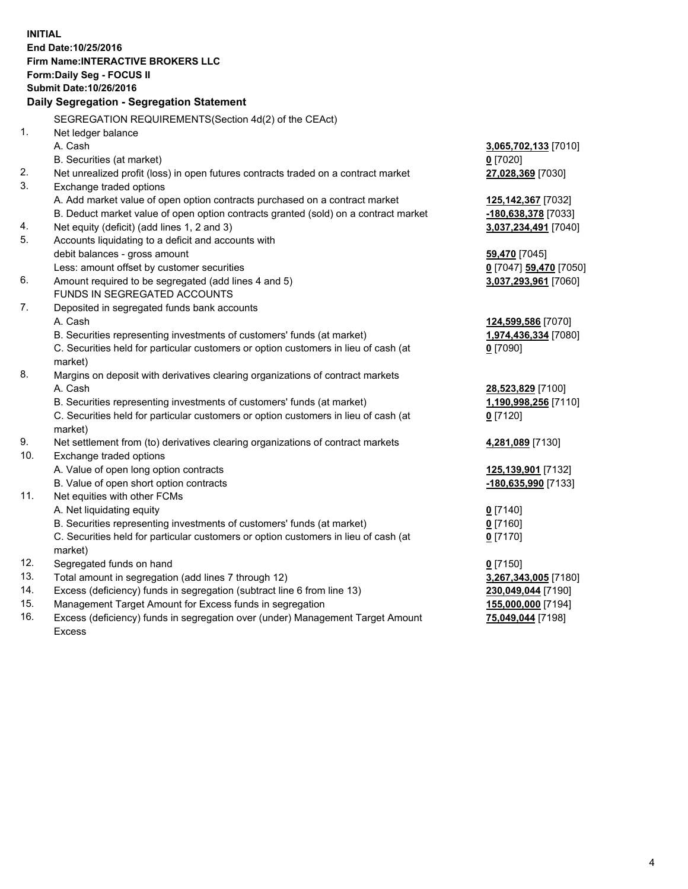**INITIAL End Date:10/25/2016 Firm Name:INTERACTIVE BROKERS LLC Form:Daily Seg - FOCUS II Submit Date:10/26/2016 Daily Segregation - Segregation Statement** SEGREGATION REQUIREMENTS(Section 4d(2) of the CEAct) 1. Net ledger balance A. Cash **3,065,702,133** [7010] B. Securities (at market) **0** [7020] 2. Net unrealized profit (loss) in open futures contracts traded on a contract market **27,028,369** [7030] 3. Exchange traded options A. Add market value of open option contracts purchased on a contract market **125,142,367** [7032] B. Deduct market value of open option contracts granted (sold) on a contract market **-180,638,378** [7033] 4. Net equity (deficit) (add lines 1, 2 and 3) **3,037,234,491** [7040] 5. Accounts liquidating to a deficit and accounts with debit balances - gross amount **59,470** [7045] Less: amount offset by customer securities **0** [7047] **59,470** [7050] 6. Amount required to be segregated (add lines 4 and 5) **3,037,293,961** [7060] FUNDS IN SEGREGATED ACCOUNTS 7. Deposited in segregated funds bank accounts A. Cash **124,599,586** [7070] B. Securities representing investments of customers' funds (at market) **1,974,436,334** [7080] C. Securities held for particular customers or option customers in lieu of cash (at market) **0** [7090] 8. Margins on deposit with derivatives clearing organizations of contract markets A. Cash **28,523,829** [7100] B. Securities representing investments of customers' funds (at market) **1,190,998,256** [7110] C. Securities held for particular customers or option customers in lieu of cash (at market) **0** [7120] 9. Net settlement from (to) derivatives clearing organizations of contract markets **4,281,089** [7130] 10. Exchange traded options A. Value of open long option contracts **125,139,901** [7132] B. Value of open short option contracts **-180,635,990** [7133] 11. Net equities with other FCMs A. Net liquidating equity **0** [7140] B. Securities representing investments of customers' funds (at market) **0** [7160] C. Securities held for particular customers or option customers in lieu of cash (at market) **0** [7170] 12. Segregated funds on hand **0** [7150] 13. Total amount in segregation (add lines 7 through 12) **3,267,343,005** [7180] 14. Excess (deficiency) funds in segregation (subtract line 6 from line 13) **230,049,044** [7190] 15. Management Target Amount for Excess funds in segregation **155,000,000** [7194] **75,049,044** [7198]

16. Excess (deficiency) funds in segregation over (under) Management Target Amount Excess